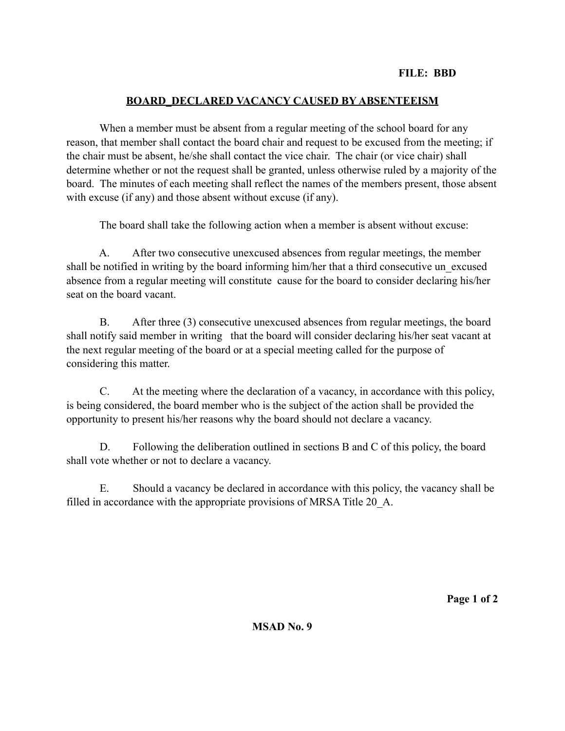## **FILE: BBD**

## **BOARD\_DECLARED VACANCY CAUSED BY ABSENTEEISM**

 When a member must be absent from a regular meeting of the school board for any reason, that member shall contact the board chair and request to be excused from the meeting; if the chair must be absent, he/she shall contact the vice chair. The chair (or vice chair) shall determine whether or not the request shall be granted, unless otherwise ruled by a majority of the board. The minutes of each meeting shall reflect the names of the members present, those absent with excuse (if any) and those absent without excuse (if any).

The board shall take the following action when a member is absent without excuse:

 A. After two consecutive unexcused absences from regular meetings, the member shall be notified in writing by the board informing him/her that a third consecutive un\_excused absence from a regular meeting will constitute cause for the board to consider declaring his/her seat on the board vacant.

 B. After three (3) consecutive unexcused absences from regular meetings, the board shall notify said member in writing that the board will consider declaring his/her seat vacant at the next regular meeting of the board or at a special meeting called for the purpose of considering this matter.

 C. At the meeting where the declaration of a vacancy, in accordance with this policy, is being considered, the board member who is the subject of the action shall be provided the opportunity to present his/her reasons why the board should not declare a vacancy.

 D. Following the deliberation outlined in sections B and C of this policy, the board shall vote whether or not to declare a vacancy.

 E. Should a vacancy be declared in accordance with this policy, the vacancy shall be filled in accordance with the appropriate provisions of MRSA Title 20\_A.